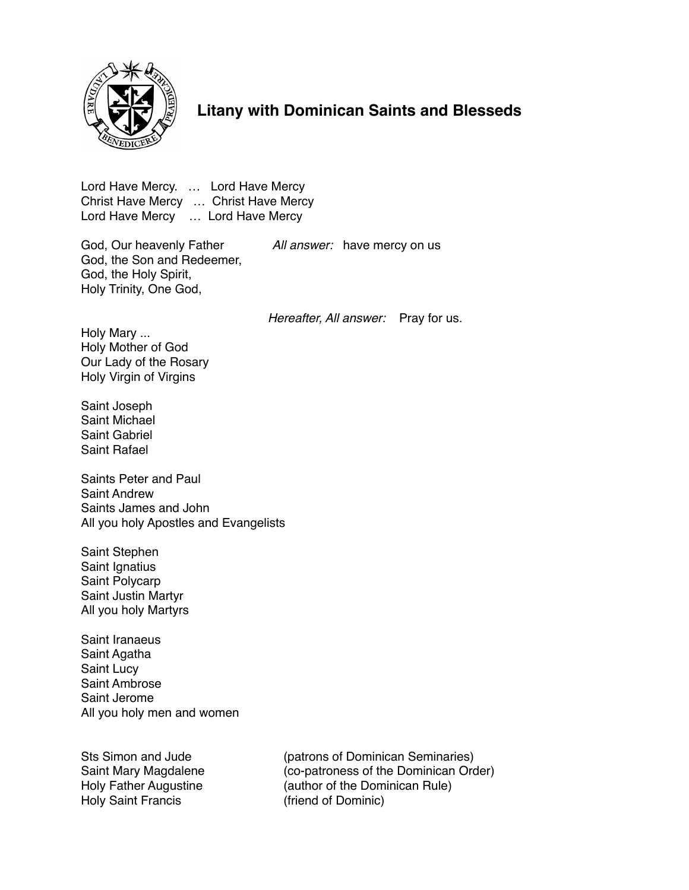

## **Litany with Dominican Saints and Blesseds**

Lord Have Mercy. … Lord Have Mercy Christ Have Mercy … Christ Have Mercy Lord Have Mercy … Lord Have Mercy

God, Our heavenly Father *All answer:* have mercy on us God, the Son and Redeemer, God, the Holy Spirit, Holy Trinity, One God,

*Hereafter, All answer:* Pray for us.

Holy Mary ... Holy Mother of God Our Lady of the Rosary Holy Virgin of Virgins

Saint Joseph Saint Michael Saint Gabriel Saint Rafael

Saints Peter and Paul Saint Andrew Saints James and John All you holy Apostles and Evangelists

Saint Stephen Saint Ignatius Saint Polycarp Saint Justin Martyr All you holy Martyrs

Saint Iranaeus Saint Agatha Saint Lucy Saint Ambrose Saint Jerome All you holy men and women

Holy Saint Francis (friend of Dominic)

Sts Simon and Jude (patrons of Dominican Seminaries) Saint Mary Magdalene (co-patroness of the Dominican Order)<br>
Holy Father Augustine (author of the Dominican Rule) (author of the Dominican Rule)